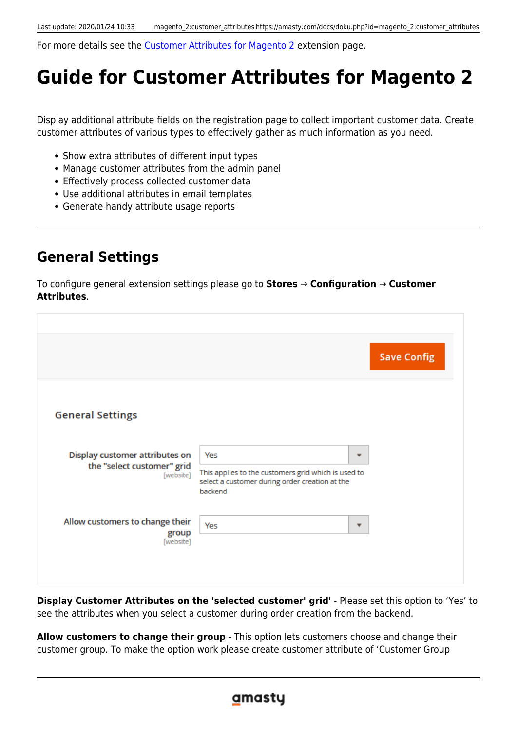For more details see the [Customer Attributes for Magento 2](https://amasty.com/customer-attributes-for-magento-2.html) extension page.

# **Guide for Customer Attributes for Magento 2**

Display additional attribute fields on the registration page to collect important customer data. Create customer attributes of various types to effectively gather as much information as you need.

- Show extra attributes of different input types
- Manage customer attributes from the admin panel
- Effectively process collected customer data
- Use additional attributes in email templates
- Generate handy attribute usage reports

# **General Settings**

To configure general extension settings please go to **Stores** → **Configuration** → **Customer Attributes**.

|                                                                           |                                                                                                                              | <b>Save Config</b> |
|---------------------------------------------------------------------------|------------------------------------------------------------------------------------------------------------------------------|--------------------|
| <b>General Settings</b>                                                   |                                                                                                                              |                    |
| Display customer attributes on<br>the "select customer" grid<br>[website] | Yes<br>▼<br>This applies to the customers grid which is used to<br>select a customer during order creation at the<br>backend |                    |
| Allow customers to change their<br>group<br>[website]                     | Yes<br>▼                                                                                                                     |                    |

**Display Customer Attributes on the 'selected customer' grid'** - Please set this option to 'Yes' to see the attributes when you select a customer during order creation from the backend.

**Allow customers to change their group** - This option lets customers choose and change their customer group. To make the option work please create customer attribute of 'Customer Group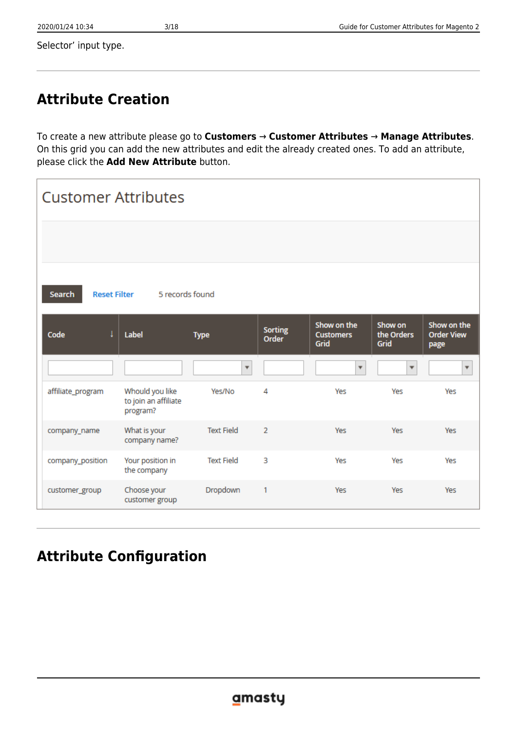Selector' input type.

# **Attribute Creation**

To create a new attribute please go to **Customers** → **Customer Attributes** → **Manage Attributes**. On this grid you can add the new attributes and edit the already created ones. To add an attribute, please click the **Add New Attribute** button.

| <b>Customer Attributes</b>    |                                                     |                         |                                |                                         |                               |                                          |
|-------------------------------|-----------------------------------------------------|-------------------------|--------------------------------|-----------------------------------------|-------------------------------|------------------------------------------|
|                               |                                                     |                         |                                |                                         |                               |                                          |
| Search<br><b>Reset Filter</b> | 5 records found                                     |                         |                                |                                         |                               |                                          |
| ļ<br>Code                     | Label                                               | <b>Type</b>             | <b>Sorting</b><br><b>Order</b> | Show on the<br><b>Customers</b><br>Grid | Show on<br>the Orders<br>Grid | Show on the<br><b>Order View</b><br>page |
|                               |                                                     | $\overline{\mathbf{v}}$ |                                | $\overline{\phantom{a}}$                | $\overline{\phantom{a}}$      | ÷                                        |
| affiliate_program             | Whould you like<br>to join an affiliate<br>program? | Yes/No                  | 4                              | Yes                                     | Yes                           | Yes                                      |
| company_name                  | What is your<br>company name?                       | <b>Text Field</b>       | $\overline{2}$                 | <b>Yes</b>                              | Yes                           | <b>Yes</b>                               |
| company_position              | Your position in<br>the company                     | <b>Text Field</b>       | 3                              | Yes                                     | Yes                           | Yes                                      |
| customer_group                | Choose your<br>customer group                       | Dropdown                | 1                              | Yes                                     | Yes                           | Yes                                      |

# **Attribute Configuration**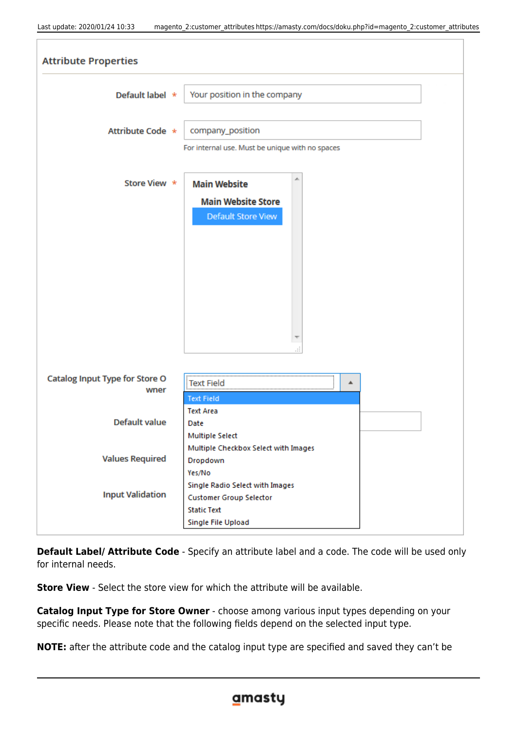| <b>Attribute Properties</b>            |                                                                                                               |
|----------------------------------------|---------------------------------------------------------------------------------------------------------------|
| Default label *                        | Your position in the company                                                                                  |
| Attribute Code *                       | company_position<br>For internal use. Must be unique with no spaces                                           |
| Store View *                           | <b>Main Website</b>                                                                                           |
|                                        | <b>Main Website Store</b><br>Default Store View<br>Æ                                                          |
| Catalog Input Type for Store O<br>wner | <b>Text Field</b><br>▲<br><b>Text Field</b>                                                                   |
| <b>Default value</b>                   | <b>Text Area</b><br>Date<br><b>Multiple Select</b>                                                            |
| <b>Values Required</b>                 | Multiple Checkbox Select with Images<br>Dropdown<br>Yes/No                                                    |
| <b>Input Validation</b>                | Single Radio Select with Images<br><b>Customer Group Selector</b><br><b>Static Text</b><br>Single File Upload |

**Default Label/ Attribute Code** - Specify an attribute label and a code. The code will be used only for internal needs.

**Store View** - Select the store view for which the attribute will be available.

**Catalog Input Type for Store Owner** - choose among various input types depending on your specific needs. Please note that the following fields depend on the selected input type.

**NOTE:** after the attribute code and the catalog input type are specified and saved they can't be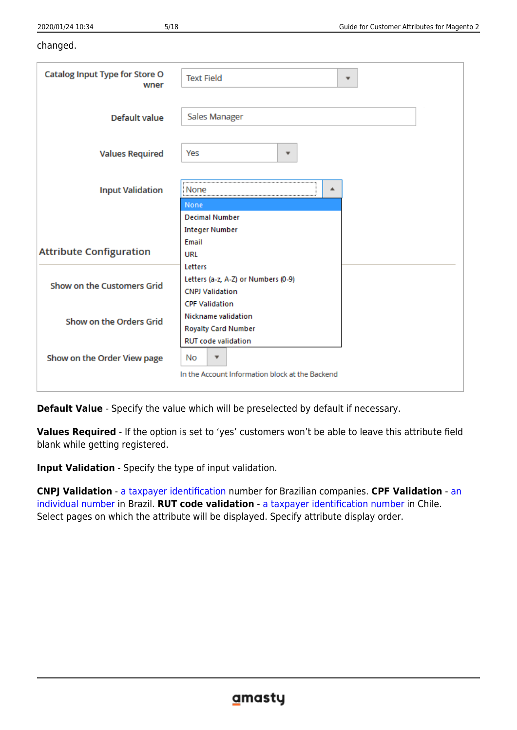### changed.

| <b>Catalog Input Type for Store O</b><br>wner | <b>Text Field</b><br>۳                          |  |
|-----------------------------------------------|-------------------------------------------------|--|
| Default value                                 | Sales Manager                                   |  |
| <b>Values Required</b>                        | Yes<br>۰                                        |  |
| <b>Input Validation</b>                       | ▲<br>None                                       |  |
|                                               | None<br><b>Decimal Number</b>                   |  |
|                                               | <b>Integer Number</b>                           |  |
|                                               | Email                                           |  |
| <b>Attribute Configuration</b>                | URL                                             |  |
|                                               | Letters                                         |  |
| Show on the Customers Grid                    | Letters (a-z, A-Z) or Numbers (0-9)             |  |
|                                               | <b>CNPJ Validation</b>                          |  |
|                                               | <b>CPF Validation</b>                           |  |
| Show on the Orders Grid                       | Nickname validation                             |  |
|                                               | <b>Royalty Card Number</b>                      |  |
|                                               | <b>RUT code validation</b>                      |  |
| Show on the Order View page                   | No                                              |  |
|                                               | In the Account Information block at the Backend |  |
|                                               |                                                 |  |

**Default Value** - Specify the value which will be preselected by default if necessary.

**Values Required** - If the option is set to 'yes' customers won't be able to leave this attribute field blank while getting registered.

**Input Validation** - Specify the type of input validation.

**CNPJ Validation** - [a taxpayer identification](https://transferwise.com/gb/blog/cpf-cnpj-meaning-brazil) number for Brazilian companies. **CPF Validation** - [an](https://transferwise.com/gb/blog/cpf-cnpj-meaning-brazil) [individual number](https://transferwise.com/gb/blog/cpf-cnpj-meaning-brazil) in Brazil. **RUT code validation** - [a taxpayer identification number](https://en.wikipedia.org/wiki/National_identification_number#Colombia) in Chile. Select pages on which the attribute will be displayed. Specify attribute display order.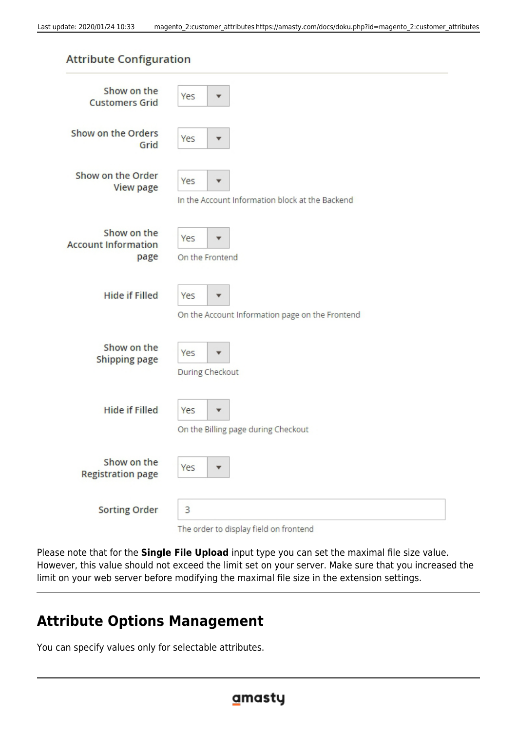Please note that for the **Single File Upload** input type you can set the maximal file size value. However, this value should not exceed the limit set on your server. Make sure that you increased the

The order to display field on frontend

limit on your web server before modifying the maximal file size in the extension settings.

**Customers Grid** Show on the Orders Yes Grid Show on the Order Yes View page In the Account Information block at the Backend Show on the Yes **Account Information** page On the Frontend **Hide if Filled** Yes On the Account Information page on the Frontend Show on the Yes **Shipping page** During Checkout **Hide if Filled** Yes On the Billing page during Checkout Show on the Yes **Registration page** 

**Attribute Options Management**

3

You can specify values only for selectable attributes.

**Sorting Order** 

| Last update: 2020/01/24 10:33 |  |  |
|-------------------------------|--|--|
|-------------------------------|--|--|

**Attribute Configuration** 

Show on the

Yes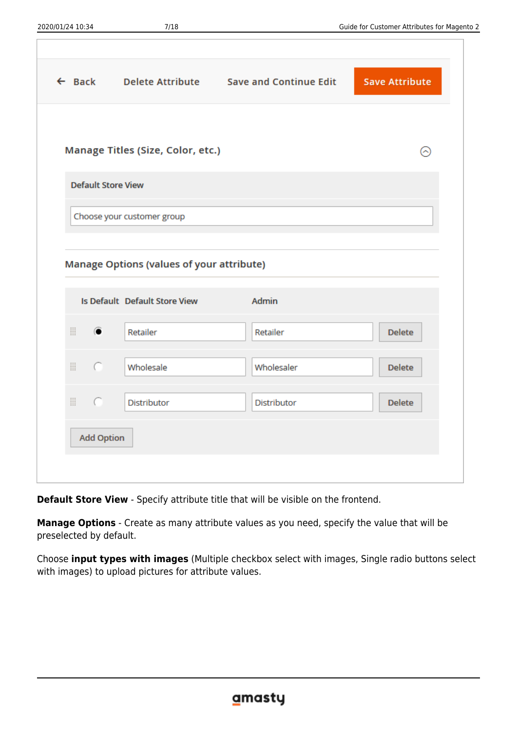|                           |                                                  | ← Back Delete Attribute Save and Continue Edit | <b>Save Attribute</b> |
|---------------------------|--------------------------------------------------|------------------------------------------------|-----------------------|
|                           |                                                  |                                                |                       |
|                           | Manage Titles (Size, Color, etc.)                |                                                | ଚ                     |
| <b>Default Store View</b> |                                                  |                                                |                       |
|                           | Choose your customer group                       |                                                |                       |
|                           |                                                  |                                                |                       |
|                           |                                                  |                                                |                       |
|                           | <b>Manage Options (values of your attribute)</b> |                                                |                       |
|                           |                                                  |                                                |                       |
|                           | Is Default Default Store View                    | Admin                                          |                       |
| ₩.<br>$\bullet$           | Retailer                                         | Retailer                                       | <b>Delete</b>         |
| $\cap$                    | Wholesale                                        | Wholesaler                                     | <b>Delete</b>         |
| ₩.<br>$\sqrt{2}$          | Distributor                                      | Distributor                                    | <b>Delete</b>         |
| <b>Add Option</b>         |                                                  |                                                |                       |

**Default Store View** - Specify attribute title that will be visible on the frontend.

**Manage Options** - Create as many attribute values as you need, specify the value that will be preselected by default.

Choose **input types with images** (Multiple checkbox select with images, Single radio buttons select with images) to upload pictures for attribute values.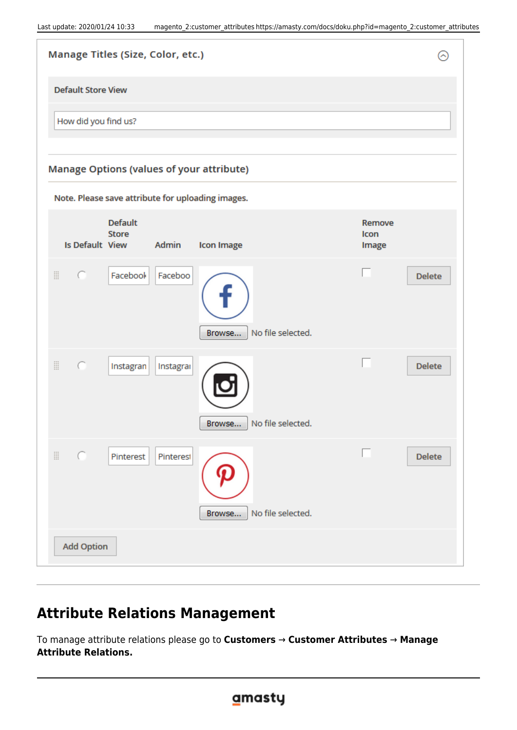| <b>Manage Titles (Size, Color, etc.)</b>                                        |                         | $(\widehat{\phantom{a}})$ |
|---------------------------------------------------------------------------------|-------------------------|---------------------------|
| <b>Default Store View</b>                                                       |                         |                           |
| How did you find us?                                                            |                         |                           |
| <b>Manage Options (values of your attribute)</b>                                |                         |                           |
| Note. Please save attribute for uploading images.                               |                         |                           |
| <b>Default</b><br><b>Store</b><br>Is Default View<br>Admin<br><b>Icon Image</b> | Remove<br>Icon<br>Image |                           |
| ₩<br>Facebook<br>Faceboo<br>$\sqrt{2}$<br>No file selected.<br>Browse           |                         | <b>Delete</b>             |
| H<br>C<br>Instagran<br>Instagrai<br>No file selected.<br>Browse                 |                         | <b>Delete</b>             |
| $\mathop{\mathbb{H}}$<br>Pinterest<br>Pinterest<br>No file selected.<br>Browse  |                         | <b>Delete</b>             |
| <b>Add Option</b>                                                               |                         |                           |

# **Attribute Relations Management**

To manage attribute relations please go to **Customers** → **Customer Attributes** → **Manage Attribute Relations.**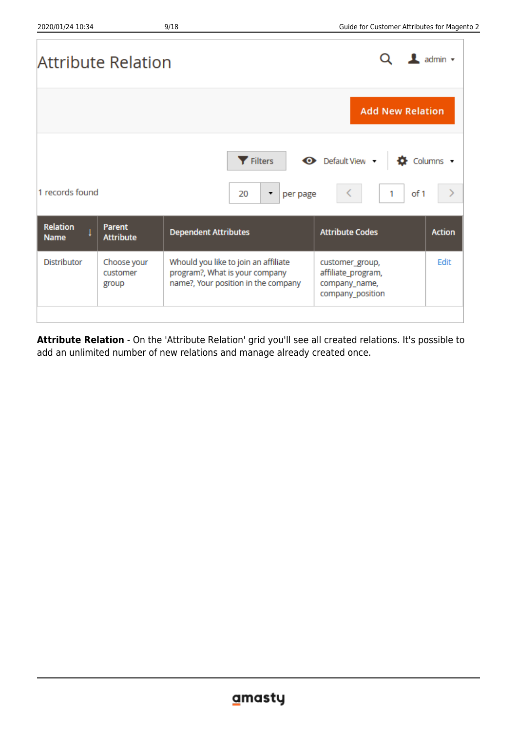|                                | Attribute Relation                |                                                                                                               |                                                                            | $\mathbf 1$ admin $\mathbf -$ |
|--------------------------------|-----------------------------------|---------------------------------------------------------------------------------------------------------------|----------------------------------------------------------------------------|-------------------------------|
|                                |                                   |                                                                                                               | <b>Add New Relation</b>                                                    |                               |
| 1 records found                |                                   | Filters<br>20<br>per page<br>۰.                                                                               | Default View v<br>of 1<br>1                                                | Columns v                     |
| <b>Relation</b><br><b>Name</b> | <b>Parent</b><br><b>Attribute</b> | <b>Dependent Attributes</b>                                                                                   | <b>Attribute Codes</b>                                                     | <b>Action</b>                 |
| <b>Distributor</b>             | Choose your<br>customer<br>group  | Whould you like to join an affiliate<br>program?, What is your company<br>name?, Your position in the company | customer_group,<br>affiliate_program,<br>company_name,<br>company_position | Edit                          |
|                                |                                   |                                                                                                               |                                                                            |                               |

**Attribute Relation** - On the 'Attribute Relation' grid you'll see all created relations. It's possible to add an unlimited number of new relations and manage already created once.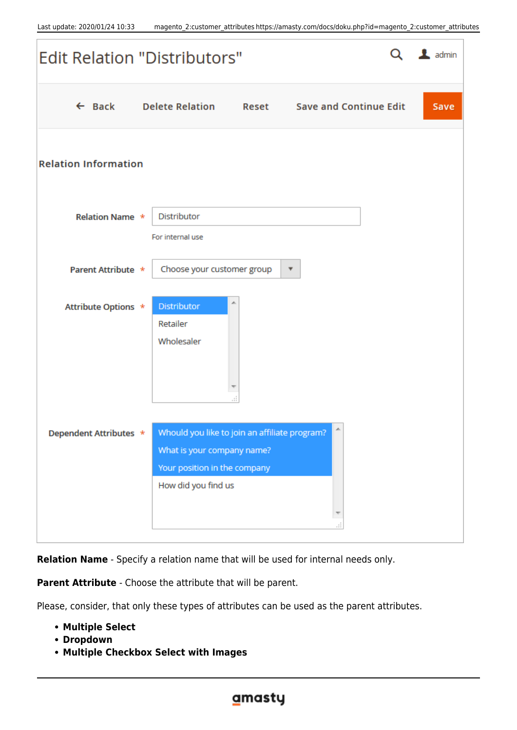

**Relation Name** - Specify a relation name that will be used for internal needs only.

**Parent Attribute** - Choose the attribute that will be parent.

Please, consider, that only these types of attributes can be used as the parent attributes.

- **Multiple Select**
- **Dropdown**
- **Multiple Checkbox Select with Images**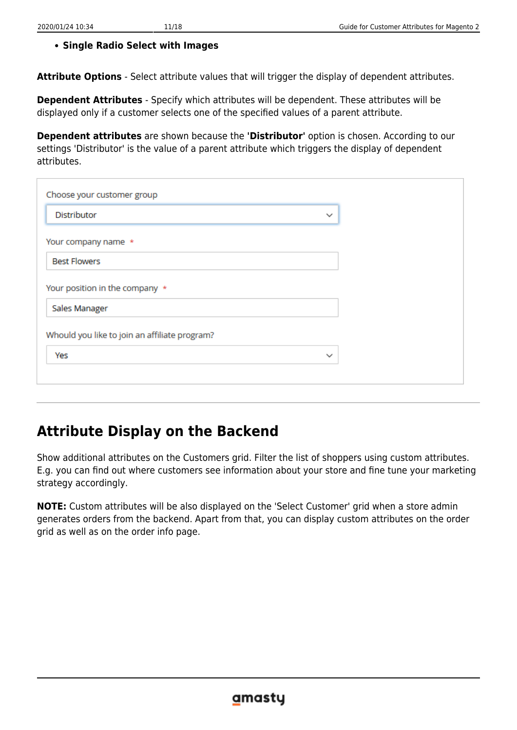### **Single Radio Select with Images**

**Attribute Options** - Select attribute values that will trigger the display of dependent attributes.

**Dependent Attributes** - Specify which attributes will be dependent. These attributes will be displayed only if a customer selects one of the specified values of a parent attribute.

**Dependent attributes** are shown because the **'Distributor'** option is chosen. According to our settings 'Distributor' is the value of a parent attribute which triggers the display of dependent attributes.

| Choose your customer group                    |              |
|-----------------------------------------------|--------------|
| <b>Distributor</b>                            | $\checkmark$ |
| Your company name *                           |              |
| <b>Best Flowers</b>                           |              |
| Your position in the company *                |              |
| Sales Manager                                 |              |
| Whould you like to join an affiliate program? |              |
| Yes                                           | $\checkmark$ |
|                                               |              |

# **Attribute Display on the Backend**

Show additional attributes on the Customers grid. Filter the list of shoppers using custom attributes. E.g. you can find out where customers see information about your store and fine tune your marketing strategy accordingly.

**NOTE:** Custom attributes will be also displayed on the 'Select Customer' grid when a store admin generates orders from the backend. Apart from that, you can display custom attributes on the order grid as well as on the order info page.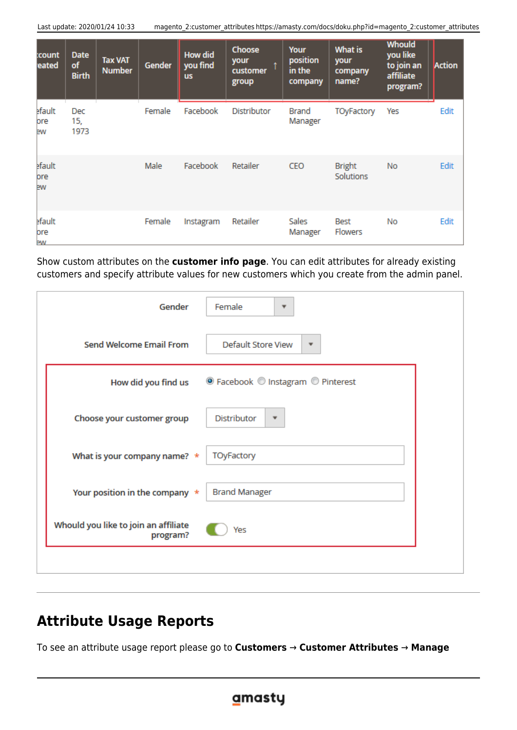Last update: 2020/01/24 10:33 magento\_2:customer\_attributes https://amasty.com/docs/doku.php?id=magento\_2:customer\_attributes

| :count<br>eated     | <b>Date</b><br>of<br><b>Birth</b> | <b>Tax VAT</b><br><b>Number</b> | Gender | <b>How did</b><br>you find<br><b>us</b> | <b>Choose</b><br>your<br>customer<br>group | Your<br>position<br>in the<br>company | What is<br>your<br>company<br>name? | <b>Whould</b><br>you like<br>to join an<br>affiliate<br>program? | Action |
|---------------------|-----------------------------------|---------------------------------|--------|-----------------------------------------|--------------------------------------------|---------------------------------------|-------------------------------------|------------------------------------------------------------------|--------|
| efault<br>ore<br>ew | Dec<br>15,<br>1973                |                                 | Female | Facebook                                | <b>Distributor</b>                         | Brand<br>Manager                      | <b>TOyFactory</b>                   | Yes                                                              | Edit   |
| efault<br>ore<br>ew |                                   |                                 | Male   | Facebook                                | Retailer                                   | CEO                                   | <b>Bright</b><br><b>Solutions</b>   | <b>No</b>                                                        | Edit   |
| efault<br>ore<br>ÞW |                                   |                                 | Female | Instagram                               | Retailer                                   | Sales<br>Manager                      | Best<br><b>Flowers</b>              | No                                                               | Edit   |

Show custom attributes on the **customer info page**. You can edit attributes for already existing customers and specify attribute values for new customers which you create from the admin panel.

| <b>Send Welcome Email From</b><br>Default Store View<br>$\overline{\mathbf{v}}$<br>● Facebook © Instagram © Pinterest<br>How did you find us<br>Distributor<br>Choose your customer group<br>۳<br>TOyFactory<br>What is your company name? $*$<br><b>Brand Manager</b><br>Your position in the company * | Gender | Female<br>▼ |
|----------------------------------------------------------------------------------------------------------------------------------------------------------------------------------------------------------------------------------------------------------------------------------------------------------|--------|-------------|
|                                                                                                                                                                                                                                                                                                          |        |             |
|                                                                                                                                                                                                                                                                                                          |        |             |
|                                                                                                                                                                                                                                                                                                          |        |             |
|                                                                                                                                                                                                                                                                                                          |        |             |
|                                                                                                                                                                                                                                                                                                          |        |             |
| Whould you like to join an affiliate<br>Yes<br>program?                                                                                                                                                                                                                                                  |        |             |

# **Attribute Usage Reports**

To see an attribute usage report please go to **Customers** → **Customer Attributes** → **Manage**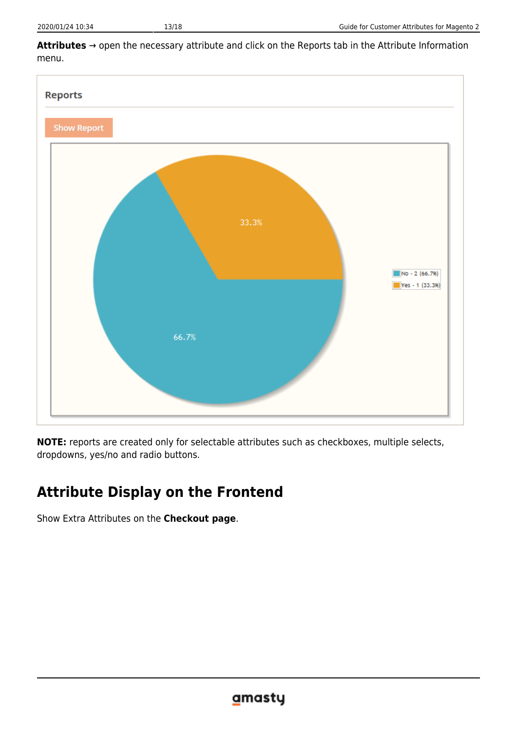



**NOTE:** reports are created only for selectable attributes such as checkboxes, multiple selects, dropdowns, yes/no and radio buttons.

# **Attribute Display on the Frontend**

Show Extra Attributes on the **Checkout page**.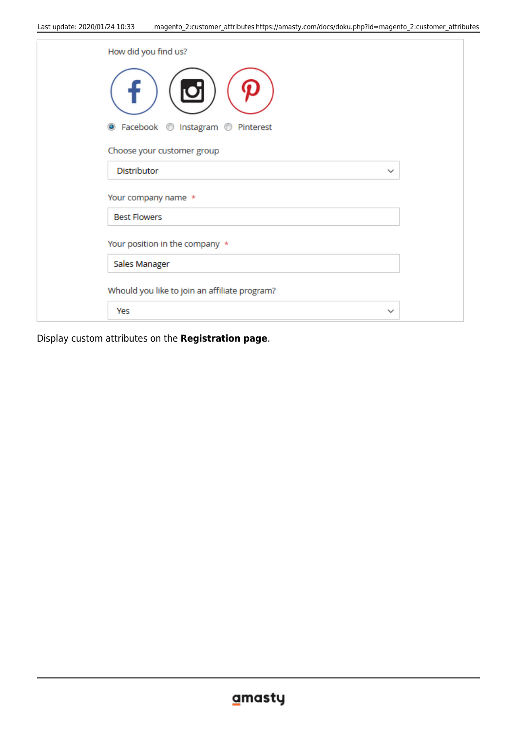| How did you find us?                          |             |
|-----------------------------------------------|-------------|
|                                               |             |
| ● Facebook ● Instagram ● Pinterest            |             |
| Choose your customer group                    |             |
| <b>Distributor</b>                            | $\check{ }$ |
| Your company name *                           |             |
| <b>Best Flowers</b>                           |             |
| Your position in the company *                |             |
| Sales Manager                                 |             |
| Whould you like to join an affiliate program? |             |
| Yes                                           | $\check{ }$ |

Display custom attributes on the **Registration page**.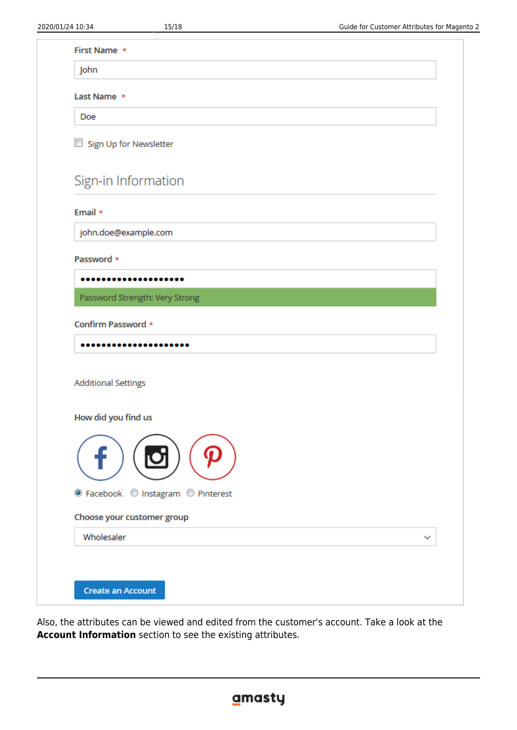| Last Name *                                                                    |             |
|--------------------------------------------------------------------------------|-------------|
| Doe                                                                            |             |
| Sign Up for Newsletter                                                         |             |
| Sign-in Information                                                            |             |
| Email *                                                                        |             |
| john.doe@example.com                                                           |             |
| Password *                                                                     |             |
|                                                                                |             |
| Password Strength: Very Strong                                                 |             |
| Confirm Password *                                                             |             |
|                                                                                |             |
|                                                                                |             |
|                                                                                |             |
|                                                                                |             |
| <b>Additional Settings</b>                                                     |             |
| How did you find us                                                            |             |
|                                                                                |             |
|                                                                                |             |
|                                                                                |             |
| ● Facebook © Instagram © Pinterest<br>Choose your customer group<br>Wholesaler | $\check{ }$ |

Also, the attributes can be viewed and edited from the customer's account. Take a look at the **Account Information** section to see the existing attributes.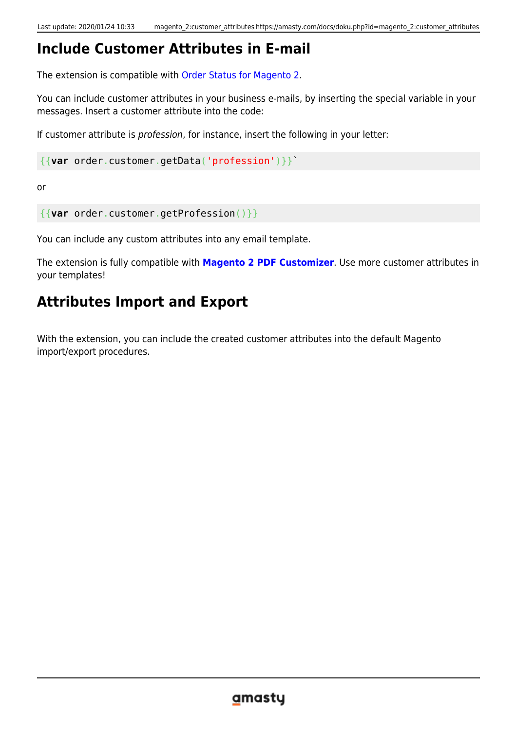# **Include Customer Attributes in E-mail**

The extension is compatible with [Order Status for Magento 2.](https://amasty.com/magento-2-order-status.html)

You can include customer attributes in your business e-mails, by inserting the special variable in your messages. Insert a customer attribute into the code:

If customer attribute is profession, for instance, insert the following in your letter:

{{**var** order.customer.getData('profession')}}`

or

```
{{var order.customer.getProfession()}}
```
You can include any custom attributes into any email template.

The extension is fully compatible with **[Magento 2 PDF Customizer](https://amasty.com/pdf-customizer-for-magento-2.html)**. Use more customer attributes in your templates!

# **Attributes Import and Export**

With the extension, you can include the created customer attributes into the default Magento import/export procedures.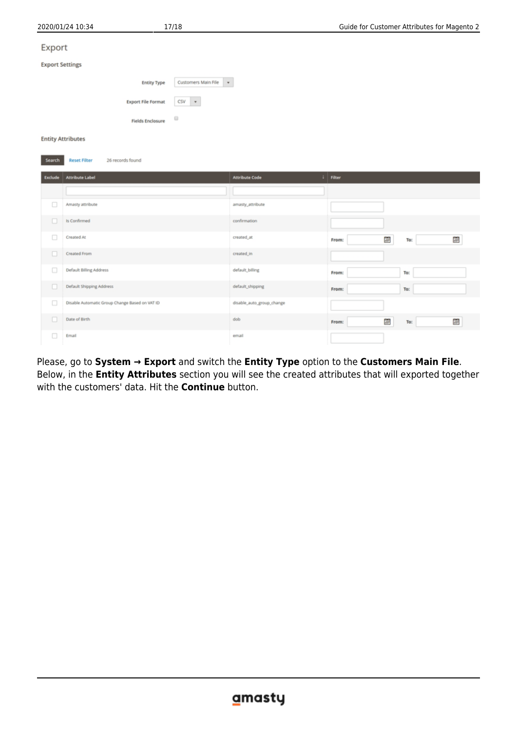| 2020/01/24 10:34       |                          |                                                | 17/18                                |                           | Guide for Customer Attributes for Magento 2 |          |   |
|------------------------|--------------------------|------------------------------------------------|--------------------------------------|---------------------------|---------------------------------------------|----------|---|
| Export                 |                          |                                                |                                      |                           |                                             |          |   |
| <b>Export Settings</b> |                          |                                                |                                      |                           |                                             |          |   |
|                        |                          | <b>Entity Type</b>                             | Customers Main File<br>$\mathbf{v}$  |                           |                                             |          |   |
|                        |                          | <b>Export File Format</b>                      | $CSV$ $*$                            |                           |                                             |          |   |
|                        |                          | <b>Fields Enclosure</b>                        | $\qquad \qquad \qquad \qquad \qquad$ |                           |                                             |          |   |
|                        | <b>Entity Attributes</b> |                                                |                                      |                           |                                             |          |   |
| Search                 | <b>Reset Filter</b>      | 26 records found                               |                                      |                           |                                             |          |   |
| Exclude                | <b>Attribute Label</b>   |                                                |                                      | <b>Attribute Code</b>     | $\perp$ Filter                              |          |   |
|                        |                          |                                                |                                      |                           |                                             |          |   |
| $\Box$                 | Amasty attribute         |                                                |                                      | amasty_attribute          |                                             |          |   |
| о                      | Is Confirmed             |                                                |                                      | confirmation              |                                             |          |   |
| $\Box$                 | Created At               |                                                |                                      | created_at                | From:                                       | 菌<br>To: | Ξ |
| $\Box$                 | Created From             |                                                |                                      | created_in                |                                             |          |   |
| □                      | Default Billing Address  |                                                |                                      | default_billing           | From:                                       | To:      |   |
| $\Box$                 | Default Shipping Address |                                                |                                      | default_shipping          | From:                                       | To:      |   |
| □                      |                          | Disable Automatic Group Change Based on VAT ID |                                      | disable_auto_group_change |                                             |          |   |
| o                      | Date of Birth            |                                                |                                      | dob                       | From:                                       | e<br>To: | 目 |
| $\Box$                 | Email                    |                                                |                                      | email                     |                                             |          |   |

Please, go to **System → Export** and switch the **Entity Type** option to the **Customers Main File**. Below, in the **Entity Attributes** section you will see the created attributes that will exported together with the customers' data. Hit the **Continue** button.